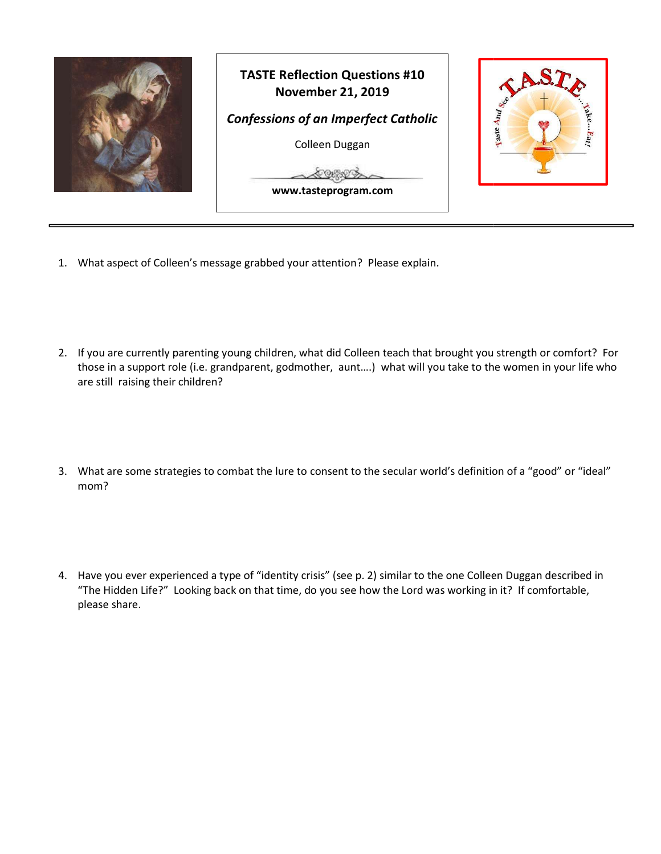

- 1. What aspect of Colleen's message grabbed your attention? Please explain.
- 2. If you are currently parenting young children, what did Colleen teach that brought you strength or comfort? For If you are currently parenting young children, what did Colleen teach that brought you strength or comfort? For<br>those in a support role (i.e. grandparent, godmother, aunt....) what will you take to the women in your life w are still raising their children?
- 3. What are some strategies to combat the lure to consent to the secular world's definition of a "good" or "ideal" mom?
- 4. Have you ever experienced a type of "identity crisis" (see p. 2) similar to the one Colleen Duggan described in Have you ever experienced a type of "identity crisis" (see p. 2) similar to the one Colleen Duggan described<br>"The Hidden Life?" Looking back on that time, do you see how the Lord was working in it? If comfortable, please share.